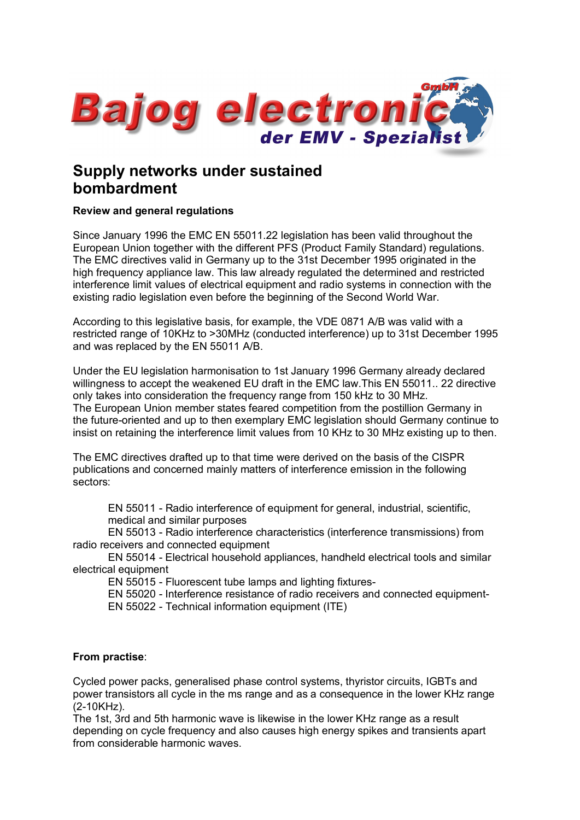

# **Supply networks under sustained bombardment**

# **Review and general regulations**

Since January 1996 the EMC EN 55011.22 legislation has been valid throughout the European Union together with the different PFS (Product Family Standard) regulations. The EMC directives valid in Germany up to the 31st December 1995 originated in the high frequency appliance law. This law already regulated the determined and restricted interference limit values of electrical equipment and radio systems in connection with the existing radio legislation even before the beginning of the Second World War.

According to this legislative basis, for example, the VDE 0871 A/B was valid with a restricted range of 10KHz to >30MHz (conducted interference) up to 31st December 1995 and was replaced by the EN 55011 A/B.

Under the EU legislation harmonisation to 1st January 1996 Germany already declared willingness to accept the weakened EU draft in the EMC law.This EN 55011.. 22 directive only takes into consideration the frequency range from 150 kHz to 30 MHz. The European Union member states feared competition from the postillion Germany in the future-oriented and up to then exemplary EMC legislation should Germany continue to insist on retaining the interference limit values from 10 KHz to 30 MHz existing up to then.

The EMC directives drafted up to that time were derived on the basis of the CISPR publications and concerned mainly matters of interference emission in the following sectors:

• EN 55011 - Radio interference of equipment for general, industrial, scientific, • medical and similar purposes

• EN 55013 - Radio interference characteristics (interference transmissions) from radio receivers and connected equipment

• EN 55014 - Electrical household appliances, handheld electrical tools and similar electrical equipment

• EN 55015 - Fluorescent tube lamps and lighting fixtures-

• EN 55020 - Interference resistance of radio receivers and connected equipment-

• EN 55022 - Technical information equipment (ITE)

# **From practise**:

Cycled power packs, generalised phase control systems, thyristor circuits, IGBTs and power transistors all cycle in the ms range and as a consequence in the lower KHz range (2-10KHz).

The 1st, 3rd and 5th harmonic wave is likewise in the lower KHz range as a result depending on cycle frequency and also causes high energy spikes and transients apart from considerable harmonic waves.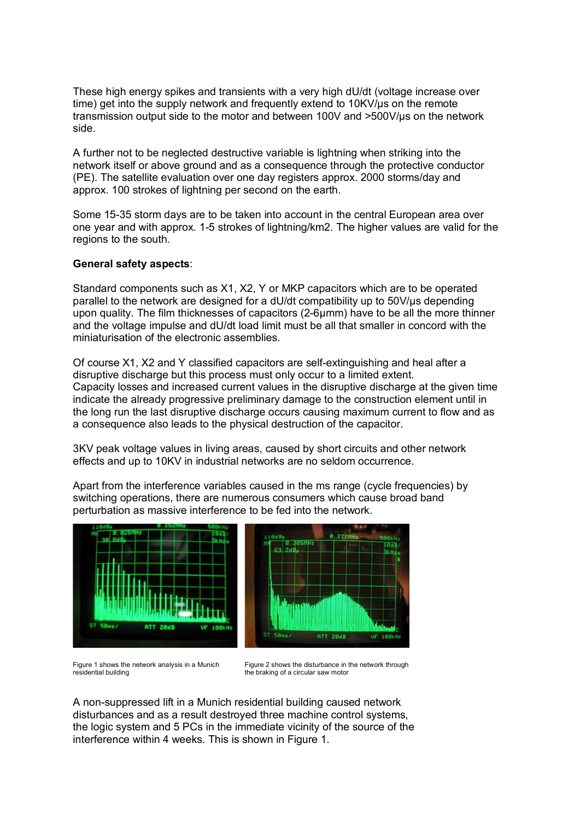These high energy spikes and transients with a very high dU/dt (voltage increase over time) get into the supply network and frequently extend to 10KV/us on the remote transmission output side to the motor and between 100V and >500V/µs on the network side.

A further not to be neglected destructive variable is lightning when striking into the network itself or above ground and as a consequence through the protective conductor (PE). The satellite evaluation over one day registers approx. 2000 storms/day and approx. 100 strokes of lightning per second on the earth.

Some 15-35 storm days are to be taken into account in the central European area over one year and with approx. 1-5 strokes of lightning/km2. The higher values are valid for the regions to the south.

### **General safety aspects**:

Standard components such as X1, X2, Y or MKP capacitors which are to be operated parallel to the network are designed for a dU/dt compatibility up to 50V/µs depending upon quality. The film thicknesses of capacitors (2-6µmm) have to be all the more thinner and the voltage impulse and dU/dt load limit must be all that smaller in concord with the miniaturisation of the electronic assemblies.

Of course X1, X2 and Y classified capacitors are self-extinguishing and heal after a disruptive discharge but this process must only occur to a limited extent. Capacity losses and increased current values in the disruptive discharge at the given time indicate the already progressive preliminary damage to the construction element until in the long run the last disruptive discharge occurs causing maximum current to flow and as a consequence also leads to the physical destruction of the capacitor.

3KV peak voltage values in living areas, caused by short circuits and other network effects and up to 10KV in industrial networks are no seldom occurrence.

Apart from the interference variables caused in the ms range (cycle frequencies) by switching operations, there are numerous consumers which cause broad band perturbation as massive interference to be fed into the network.



Figure 1 shows the network analysis in a Munich residential building

Figure 2 shows the disturbance in the network through the braking of a circular saw motor

υr

A non-suppressed lift in a Munich residential building caused network disturbances and as a result destroyed three machine control systems, the logic system and 5 PCs in the immediate vicinity of the source of the interference within 4 weeks. This is shown in Figure 1.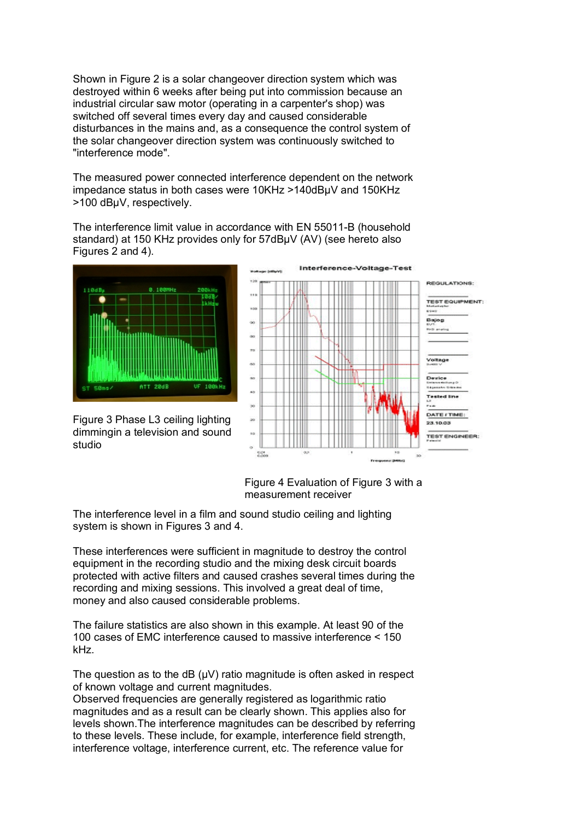Shown in Figure 2 is a solar changeover direction system which was destroyed within 6 weeks after being put into commission because an industrial circular saw motor (operating in a carpenter's shop) was switched off several times every day and caused considerable disturbances in the mains and, as a consequence the control system of the solar changeover direction system was continuously switched to "interference mode".

The measured power connected interference dependent on the network impedance status in both cases were 10KHz >140dBµV and 150KHz >100 dBµV, respectively.

The interference limit value in accordance with EN 55011-B (household standard) at 150 KHz provides only for 57dBµV (AV) (see hereto also Figures 2 and 4).



Figure 3 Phase L3 ceiling lighting dimmingin a television and sound studio



Figure 4 Evaluation of Figure 3 with a measurement receiver

The interference level in a film and sound studio ceiling and lighting system is shown in Figures 3 and 4.

These interferences were sufficient in magnitude to destroy the control equipment in the recording studio and the mixing desk circuit boards protected with active filters and caused crashes several times during the recording and mixing sessions. This involved a great deal of time, money and also caused considerable problems.

The failure statistics are also shown in this example. At least 90 of the 100 cases of EMC interference caused to massive interference < 150 kHz.

The question as to the dB  $(\mu V)$  ratio magnitude is often asked in respect of known voltage and current magnitudes.

Observed frequencies are generally registered as logarithmic ratio magnitudes and as a result can be clearly shown. This applies also for levels shown.The interference magnitudes can be described by referring to these levels. These include, for example, interference field strength, interference voltage, interference current, etc. The reference value for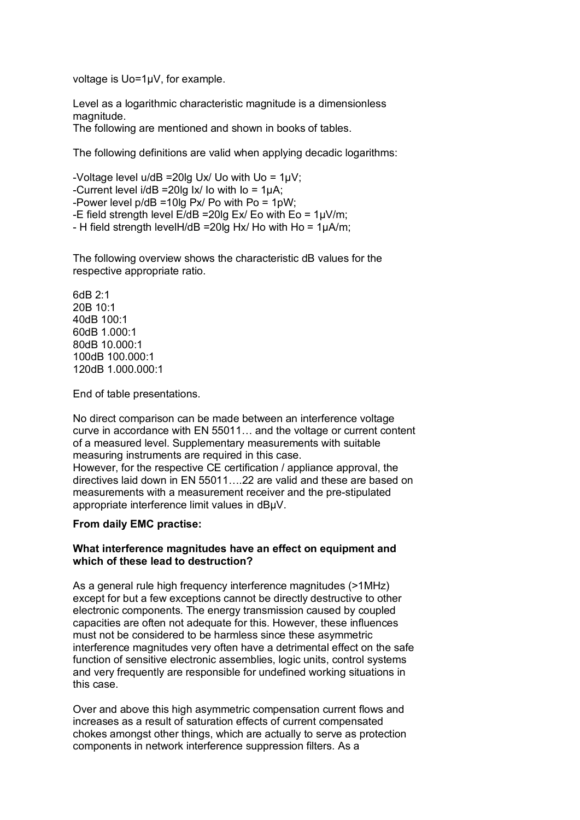voltage is Uo=1µV, for example.

Level as a logarithmic characteristic magnitude is a dimensionless magnitude.

The following are mentioned and shown in books of tables.

The following definitions are valid when applying decadic logarithms:

-Voltage level u/dB =20lg Ux/ Uo with Uo = 1µV; -Current level i/dB =20lg Ix/ Io with Io = 1µA; -Power level  $p/dB = 10q$  Px/ Po with Po = 1pW; -E field strength level  $E/dB = 20$ lg Ex/ Eo with Eo =  $1\mu V/m$ ; - H field strength levelH/dB =20lg Hx/ Ho with Ho = 1µA/m;

The following overview shows the characteristic dB values for the respective appropriate ratio.

6dB 2:1 20B 10:1 40dB 100:1 60dB 1.000:1 80dB 10.000:1 100dB 100.000:1 120dB 1.000.000:1

End of table presentations.

No direct comparison can be made between an interference voltage curve in accordance with EN 55011… and the voltage or current content of a measured level. Supplementary measurements with suitable measuring instruments are required in this case. However, for the respective CE certification / appliance approval, the directives laid down in EN 55011….22 are valid and these are based on measurements with a measurement receiver and the pre-stipulated appropriate interference limit values in dBµV.

# **From daily EMC practise:**

### **What interference magnitudes have an effect on equipment and which of these lead to destruction?**

As a general rule high frequency interference magnitudes (>1MHz) except for but a few exceptions cannot be directly destructive to other electronic components. The energy transmission caused by coupled capacities are often not adequate for this. However, these influences must not be considered to be harmless since these asymmetric interference magnitudes very often have a detrimental effect on the safe function of sensitive electronic assemblies, logic units, control systems and very frequently are responsible for undefined working situations in this case.

Over and above this high asymmetric compensation current flows and increases as a result of saturation effects of current compensated chokes amongst other things, which are actually to serve as protection components in network interference suppression filters. As a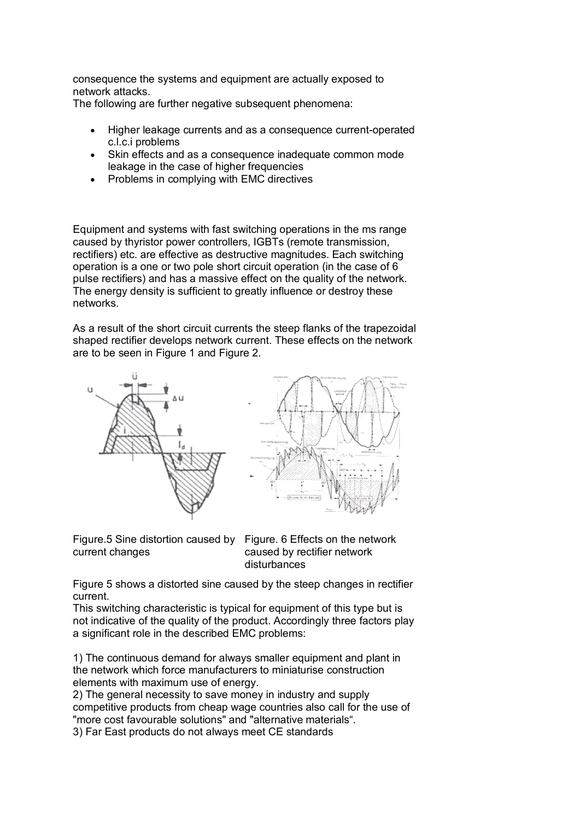consequence the systems and equipment are actually exposed to network attacks.

The following are further negative subsequent phenomena:

- Higher leakage currents and as a consequence current-operated c.l.c.i problems
- Skin effects and as a consequence inadequate common mode leakage in the case of higher frequencies
- Problems in complying with EMC directives

Equipment and systems with fast switching operations in the ms range caused by thyristor power controllers, IGBTs (remote transmission, rectifiers) etc. are effective as destructive magnitudes. Each switching operation is a one or two pole short circuit operation (in the case of 6 pulse rectifiers) and has a massive effect on the quality of the network. The energy density is sufficient to greatly influence or destroy these networks.

As a result of the short circuit currents the steep flanks of the trapezoidal shaped rectifier develops network current. These effects on the network are to be seen in Figure 1 and Figure 2.



Figure.5 Sine distortion caused by Figure. 6 Effects on the network current changes

caused by rectifier network disturbances

Figure 5 shows a distorted sine caused by the steep changes in rectifier current.

This switching characteristic is typical for equipment of this type but is not indicative of the quality of the product. Accordingly three factors play a significant role in the described EMC problems:

1) The continuous demand for always smaller equipment and plant in the network which force manufacturers to miniaturise construction elements with maximum use of energy.

2) The general necessity to save money in industry and supply competitive products from cheap wage countries also call for the use of "more cost favourable solutions" and "alternative materials". 3) Far East products do not always meet CE standards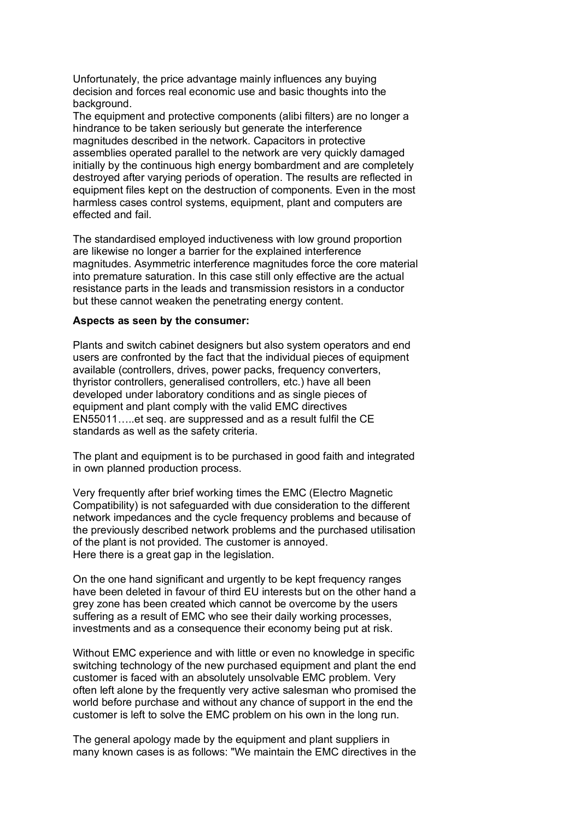Unfortunately, the price advantage mainly influences any buying decision and forces real economic use and basic thoughts into the background.

The equipment and protective components (alibi filters) are no longer a hindrance to be taken seriously but generate the interference magnitudes described in the network. Capacitors in protective assemblies operated parallel to the network are very quickly damaged initially by the continuous high energy bombardment and are completely destroyed after varying periods of operation. The results are reflected in equipment files kept on the destruction of components. Even in the most harmless cases control systems, equipment, plant and computers are effected and fail.

The standardised employed inductiveness with low ground proportion are likewise no longer a barrier for the explained interference magnitudes. Asymmetric interference magnitudes force the core material into premature saturation. In this case still only effective are the actual resistance parts in the leads and transmission resistors in a conductor but these cannot weaken the penetrating energy content.

#### **Aspects as seen by the consumer:**

Plants and switch cabinet designers but also system operators and end users are confronted by the fact that the individual pieces of equipment available (controllers, drives, power packs, frequency converters, thyristor controllers, generalised controllers, etc.) have all been developed under laboratory conditions and as single pieces of equipment and plant comply with the valid EMC directives EN55011…..et seq. are suppressed and as a result fulfil the CE standards as well as the safety criteria.

The plant and equipment is to be purchased in good faith and integrated in own planned production process.

Very frequently after brief working times the EMC (Electro Magnetic Compatibility) is not safeguarded with due consideration to the different network impedances and the cycle frequency problems and because of the previously described network problems and the purchased utilisation of the plant is not provided. The customer is annoyed. Here there is a great gap in the legislation.

On the one hand significant and urgently to be kept frequency ranges have been deleted in favour of third EU interests but on the other hand a grey zone has been created which cannot be overcome by the users suffering as a result of EMC who see their daily working processes, investments and as a consequence their economy being put at risk.

Without EMC experience and with little or even no knowledge in specific switching technology of the new purchased equipment and plant the end customer is faced with an absolutely unsolvable EMC problem. Very often left alone by the frequently very active salesman who promised the world before purchase and without any chance of support in the end the customer is left to solve the EMC problem on his own in the long run.

The general apology made by the equipment and plant suppliers in many known cases is as follows: "We maintain the EMC directives in the